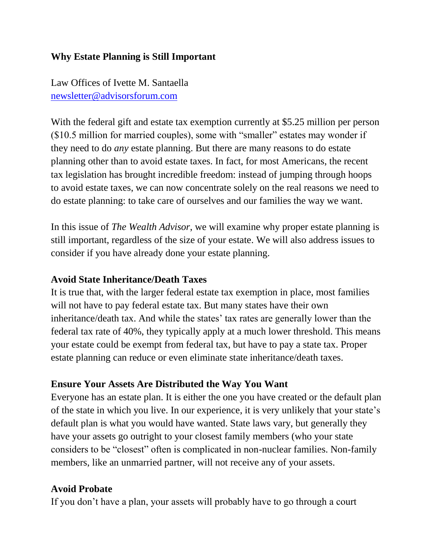# **Why Estate Planning is Still Important**

Law Offices of Ivette M. Santaella [newsletter@advisorsforum.com](mailto:newsletter@advisorsforum.com)

With the federal gift and estate tax exemption currently at \$5.25 million per person (\$10.5 million for married couples), some with "smaller" estates may wonder if they need to do *any* estate planning. But there are many reasons to do estate planning other than to avoid estate taxes. In fact, for most Americans, the recent tax legislation has brought incredible freedom: instead of jumping through hoops to avoid estate taxes, we can now concentrate solely on the real reasons we need to do estate planning: to take care of ourselves and our families the way we want.

In this issue of *The Wealth Advisor*, we will examine why proper estate planning is still important, regardless of the size of your estate. We will also address issues to consider if you have already done your estate planning.

#### **Avoid State Inheritance/Death Taxes**

It is true that, with the larger federal estate tax exemption in place, most families will not have to pay federal estate tax. But many states have their own inheritance/death tax. And while the states' tax rates are generally lower than the federal tax rate of 40%, they typically apply at a much lower threshold. This means your estate could be exempt from federal tax, but have to pay a state tax. Proper estate planning can reduce or even eliminate state inheritance/death taxes.

### **Ensure Your Assets Are Distributed the Way You Want**

Everyone has an estate plan. It is either the one you have created or the default plan of the state in which you live. In our experience, it is very unlikely that your state's default plan is what you would have wanted. State laws vary, but generally they have your assets go outright to your closest family members (who your state considers to be "closest" often is complicated in non-nuclear families. Non-family members, like an unmarried partner, will not receive any of your assets.

#### **Avoid Probate**

If you don't have a plan, your assets will probably have to go through a court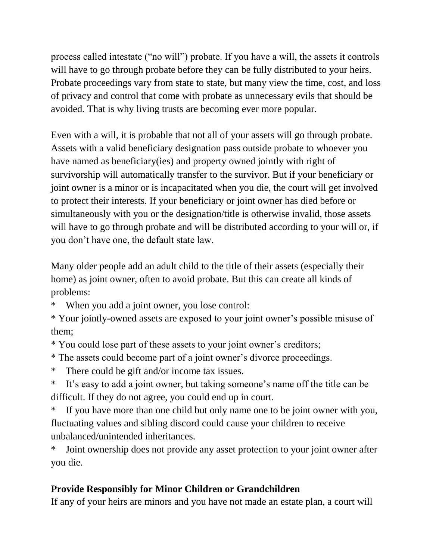process called intestate ("no will") probate. If you have a will, the assets it controls will have to go through probate before they can be fully distributed to your heirs. Probate proceedings vary from state to state, but many view the time, cost, and loss of privacy and control that come with probate as unnecessary evils that should be avoided. That is why living trusts are becoming ever more popular.

Even with a will, it is probable that not all of your assets will go through probate. Assets with a valid beneficiary designation pass outside probate to whoever you have named as beneficiary(ies) and property owned jointly with right of survivorship will automatically transfer to the survivor. But if your beneficiary or joint owner is a minor or is incapacitated when you die, the court will get involved to protect their interests. If your beneficiary or joint owner has died before or simultaneously with you or the designation/title is otherwise invalid, those assets will have to go through probate and will be distributed according to your will or, if you don't have one, the default state law.

Many older people add an adult child to the title of their assets (especially their home) as joint owner, often to avoid probate. But this can create all kinds of problems:

When you add a joint owner, you lose control:

\* Your jointly-owned assets are exposed to your joint owner's possible misuse of them;

\* You could lose part of these assets to your joint owner's creditors;

\* The assets could become part of a joint owner's divorce proceedings.

\* There could be gift and/or income tax issues.

\* It's easy to add a joint owner, but taking someone's name off the title can be difficult. If they do not agree, you could end up in court.

If you have more than one child but only name one to be joint owner with you, fluctuating values and sibling discord could cause your children to receive unbalanced/unintended inheritances.

Joint ownership does not provide any asset protection to your joint owner after you die.

# **Provide Responsibly for Minor Children or Grandchildren**

If any of your heirs are minors and you have not made an estate plan, a court will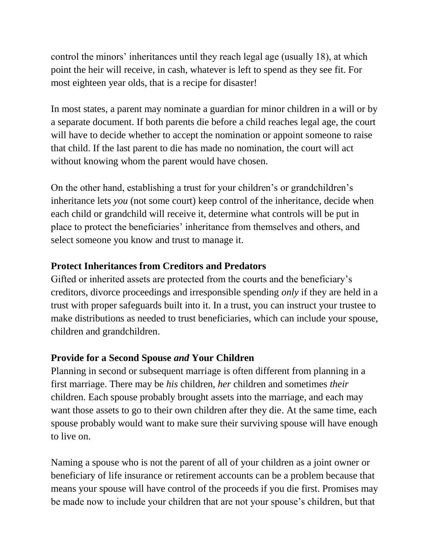control the minors' inheritances until they reach legal age (usually 18), at which point the heir will receive, in cash, whatever is left to spend as they see fit. For most eighteen year olds, that is a recipe for disaster!

In most states, a parent may nominate a guardian for minor children in a will or by a separate document. If both parents die before a child reaches legal age, the court will have to decide whether to accept the nomination or appoint someone to raise that child. If the last parent to die has made no nomination, the court will act without knowing whom the parent would have chosen.

On the other hand, establishing a trust for your children's or grandchildren's inheritance lets *you* (not some court) keep control of the inheritance, decide when each child or grandchild will receive it, determine what controls will be put in place to protect the beneficiaries' inheritance from themselves and others, and select someone you know and trust to manage it.

### **Protect Inheritances from Creditors and Predators**

Gifted or inherited assets are protected from the courts and the beneficiary's creditors, divorce proceedings and irresponsible spending *only* if they are held in a trust with proper safeguards built into it. In a trust, you can instruct your trustee to make distributions as needed to trust beneficiaries, which can include your spouse, children and grandchildren.

# **Provide for a Second Spouse** *and* **Your Children**

Planning in second or subsequent marriage is often different from planning in a first marriage. There may be *his* children, *her* children and sometimes *their* children. Each spouse probably brought assets into the marriage, and each may want those assets to go to their own children after they die. At the same time, each spouse probably would want to make sure their surviving spouse will have enough to live on.

Naming a spouse who is not the parent of all of your children as a joint owner or beneficiary of life insurance or retirement accounts can be a problem because that means your spouse will have control of the proceeds if you die first. Promises may be made now to include your children that are not your spouse's children, but that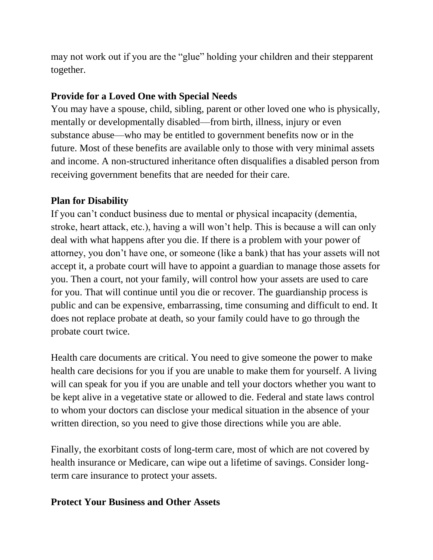may not work out if you are the "glue" holding your children and their stepparent together.

# **Provide for a Loved One with Special Needs**

You may have a spouse, child, sibling, parent or other loved one who is physically, mentally or developmentally disabled—from birth, illness, injury or even substance abuse—who may be entitled to government benefits now or in the future. Most of these benefits are available only to those with very minimal assets and income. A non-structured inheritance often disqualifies a disabled person from receiving government benefits that are needed for their care.

# **Plan for Disability**

If you can't conduct business due to mental or physical incapacity (dementia, stroke, heart attack, etc.), having a will won't help. This is because a will can only deal with what happens after you die. If there is a problem with your power of attorney, you don't have one, or someone (like a bank) that has your assets will not accept it, a probate court will have to appoint a guardian to manage those assets for you. Then a court, not your family, will control how your assets are used to care for you. That will continue until you die or recover. The guardianship process is public and can be expensive, embarrassing, time consuming and difficult to end. It does not replace probate at death, so your family could have to go through the probate court twice.

Health care documents are critical. You need to give someone the power to make health care decisions for you if you are unable to make them for yourself. A living will can speak for you if you are unable and tell your doctors whether you want to be kept alive in a vegetative state or allowed to die. Federal and state laws control to whom your doctors can disclose your medical situation in the absence of your written direction, so you need to give those directions while you are able.

Finally, the exorbitant costs of long-term care, most of which are not covered by health insurance or Medicare, can wipe out a lifetime of savings. Consider longterm care insurance to protect your assets.

# **Protect Your Business and Other Assets**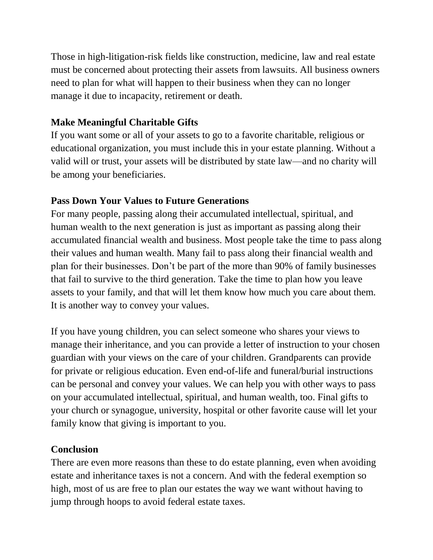Those in high-litigation-risk fields like construction, medicine, law and real estate must be concerned about protecting their assets from lawsuits. All business owners need to plan for what will happen to their business when they can no longer manage it due to incapacity, retirement or death.

# **Make Meaningful Charitable Gifts**

If you want some or all of your assets to go to a favorite charitable, religious or educational organization, you must include this in your estate planning. Without a valid will or trust, your assets will be distributed by state law—and no charity will be among your beneficiaries.

# **Pass Down Your Values to Future Generations**

For many people, passing along their accumulated intellectual, spiritual, and human wealth to the next generation is just as important as passing along their accumulated financial wealth and business. Most people take the time to pass along their values and human wealth. Many fail to pass along their financial wealth and plan for their businesses. Don't be part of the more than 90% of family businesses that fail to survive to the third generation. Take the time to plan how you leave assets to your family, and that will let them know how much you care about them. It is another way to convey your values.

If you have young children, you can select someone who shares your views to manage their inheritance, and you can provide a letter of instruction to your chosen guardian with your views on the care of your children. Grandparents can provide for private or religious education. Even end-of-life and funeral/burial instructions can be personal and convey your values. We can help you with other ways to pass on your accumulated intellectual, spiritual, and human wealth, too. Final gifts to your church or synagogue, university, hospital or other favorite cause will let your family know that giving is important to you.

# **Conclusion**

There are even more reasons than these to do estate planning, even when avoiding estate and inheritance taxes is not a concern. And with the federal exemption so high, most of us are free to plan our estates the way we want without having to jump through hoops to avoid federal estate taxes.